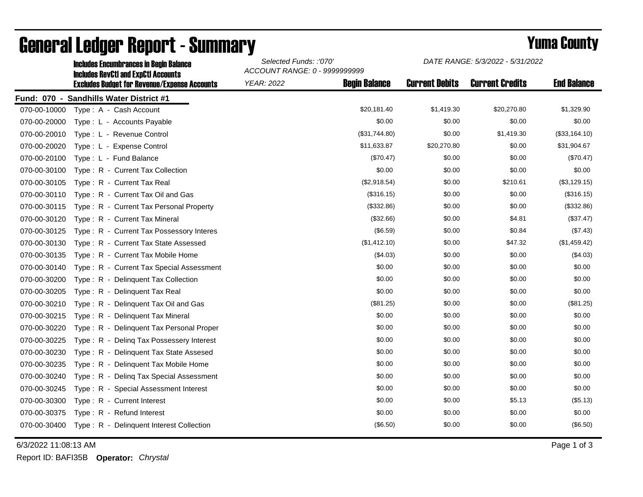|              | <b>Includes Encumbrances in Begin Balance</b><br><b>Includes RevCtI and ExpCtI Accounts</b> | Selected Funds: :'070'<br>ACCOUNT RANGE: 0 - 9999999999 |                      | DATE RANGE: 5/3/2022 - 5/31/2022 |                        |                    |
|--------------|---------------------------------------------------------------------------------------------|---------------------------------------------------------|----------------------|----------------------------------|------------------------|--------------------|
|              | <b>Excludes Budget for Revenue/Expense Accounts</b>                                         | <b>YEAR: 2022</b>                                       | <b>Begin Balance</b> | <b>Current Debits</b>            | <b>Current Credits</b> | <b>End Balance</b> |
|              | Fund: 070 - Sandhills Water District #1                                                     |                                                         |                      |                                  |                        |                    |
| 070-00-10000 | Type: A - Cash Account                                                                      |                                                         | \$20,181.40          | \$1,419.30                       | \$20,270.80            | \$1,329.90         |
| 070-00-20000 | Type: L - Accounts Payable                                                                  |                                                         | \$0.00               | \$0.00                           | \$0.00                 | \$0.00             |
| 070-00-20010 | Type: L - Revenue Control                                                                   |                                                         | (\$31,744.80)        | \$0.00                           | \$1,419.30             | (\$33,164.10)      |
| 070-00-20020 | Type: L - Expense Control                                                                   |                                                         | \$11,633.87          | \$20,270.80                      | \$0.00                 | \$31,904.67        |
| 070-00-20100 | Type: L - Fund Balance                                                                      |                                                         | (\$70.47)            | \$0.00                           | \$0.00                 | (\$70.47)          |
| 070-00-30100 | Type: R - Current Tax Collection                                                            |                                                         | \$0.00               | \$0.00                           | \$0.00                 | \$0.00             |
| 070-00-30105 | Type: R - Current Tax Real                                                                  |                                                         | (\$2,918.54)         | \$0.00                           | \$210.61               | (\$3,129.15)       |
| 070-00-30110 | Type: R - Current Tax Oil and Gas                                                           |                                                         | (\$316.15)           | \$0.00                           | \$0.00                 | (\$316.15)         |
| 070-00-30115 | Type: R - Current Tax Personal Property                                                     |                                                         | (\$332.86)           | \$0.00                           | \$0.00                 | (\$332.86)         |
| 070-00-30120 | Type: R - Current Tax Mineral                                                               |                                                         | (\$32.66)            | \$0.00                           | \$4.81                 | (\$37.47)          |
| 070-00-30125 | Type: R - Current Tax Possessory Interes                                                    |                                                         | (\$6.59)             | \$0.00                           | \$0.84                 | (\$7.43)           |
| 070-00-30130 | Type: R - Current Tax State Assessed                                                        |                                                         | (\$1,412.10)         | \$0.00                           | \$47.32                | (\$1,459.42)       |
| 070-00-30135 | Type: R - Current Tax Mobile Home                                                           |                                                         | (\$4.03)             | \$0.00                           | \$0.00                 | (\$4.03)           |
| 070-00-30140 | Type: R - Current Tax Special Assessment                                                    |                                                         | \$0.00               | \$0.00                           | \$0.00                 | \$0.00             |
| 070-00-30200 | Type: R - Delinquent Tax Collection                                                         |                                                         | \$0.00               | \$0.00                           | \$0.00                 | \$0.00             |
| 070-00-30205 | Type: R - Delinquent Tax Real                                                               |                                                         | \$0.00               | \$0.00                           | \$0.00                 | \$0.00             |
| 070-00-30210 | Type: R - Delinquent Tax Oil and Gas                                                        |                                                         | (\$81.25)            | \$0.00                           | \$0.00                 | (\$81.25)          |
| 070-00-30215 | Type: R - Delinquent Tax Mineral                                                            |                                                         | \$0.00               | \$0.00                           | \$0.00                 | \$0.00             |
| 070-00-30220 | Type: R - Delinquent Tax Personal Proper                                                    |                                                         | \$0.00               | \$0.00                           | \$0.00                 | \$0.00             |
| 070-00-30225 | Type: R - Deling Tax Possessery Interest                                                    |                                                         | \$0.00               | \$0.00                           | \$0.00                 | \$0.00             |
| 070-00-30230 | Type: R - Delinquent Tax State Assesed                                                      |                                                         | \$0.00               | \$0.00                           | \$0.00                 | \$0.00             |
| 070-00-30235 | Type: R - Delinquent Tax Mobile Home                                                        |                                                         | \$0.00               | \$0.00                           | \$0.00                 | \$0.00             |
| 070-00-30240 | Type: R - Deling Tax Special Assessment                                                     |                                                         | \$0.00               | \$0.00                           | \$0.00                 | \$0.00             |
| 070-00-30245 | Type: R - Special Assessment Interest                                                       |                                                         | \$0.00               | \$0.00                           | \$0.00                 | \$0.00             |
| 070-00-30300 | Type: R - Current Interest                                                                  |                                                         | \$0.00               | \$0.00                           | \$5.13                 | (\$5.13)           |
| 070-00-30375 | Type: R - Refund Interest                                                                   |                                                         | \$0.00               | \$0.00                           | \$0.00                 | \$0.00             |
| 070-00-30400 | Type: R - Delinquent Interest Collection                                                    |                                                         | (\$6.50)             | \$0.00                           | \$0.00                 | (\$6.50)           |

## General Ledger Report - Summary **Example 2018** Yuma County

6/3/2022 11:08:13 AM Page 1 of 3

Report ID: BAFI35B **Operator:** *Chrystal*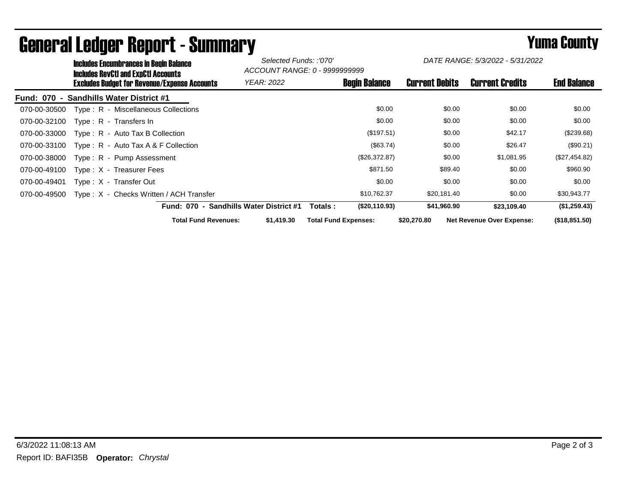| <b>Includes Encumbrances in Begin Balance</b><br><b>Includes RevCtI and ExpCtI Accounts</b> |                                         | Selected Funds: :'070'<br>ACCOUNT RANGE: 0 - 9999999999 |                       | DATE RANGE: 5/3/2022 - 5/31/2022 |                    |
|---------------------------------------------------------------------------------------------|-----------------------------------------|---------------------------------------------------------|-----------------------|----------------------------------|--------------------|
| <b>Excludes Budget for Revenue/Expense Accounts</b>                                         | <b>YEAR: 2022</b>                       | <b>Begin Balance</b>                                    | <b>Current Debits</b> | <b>Current Credits</b>           | <b>End Balance</b> |
| <b>Sandhills Water District #1</b><br>Fund: 070 -                                           |                                         |                                                         |                       |                                  |                    |
| Type: R - Miscellaneous Collections<br>070-00-30500                                         |                                         | \$0.00                                                  | \$0.00                | \$0.00                           | \$0.00             |
| 070-00-32100<br>Type: R - Transfers In                                                      |                                         | \$0.00                                                  | \$0.00                | \$0.00                           | \$0.00             |
| $Type: R - Auto Tax B Collection$<br>070-00-33000                                           |                                         | (\$197.51)                                              | \$0.00                | \$42.17                          | (\$239.68)         |
| 070-00-33100<br>Type: $R -$ Auto Tax A & F Collection                                       |                                         | (\$63.74)                                               | \$0.00                | \$26.47                          | (\$90.21)          |
| 070-00-38000<br>Type: R - Pump Assessment                                                   |                                         | (\$26,372.87)                                           | \$0.00                | \$1,081.95                       | (\$27,454.82)      |
| 070-00-49100<br>$Type: X - Treasure Fees$                                                   |                                         | \$871.50                                                | \$89.40               | \$0.00                           | \$960.90           |
| 070-00-49401<br>Type: X - Transfer Out                                                      |                                         | \$0.00                                                  | \$0.00                | \$0.00                           | \$0.00             |
| Type: X - Checks Written / ACH Transfer<br>070-00-49500                                     |                                         | \$10,762.37                                             | \$20,181.40           | \$0.00                           | \$30,943.77        |
|                                                                                             | Fund: 070 - Sandhills Water District #1 | (\$20,110.93)<br>Totals :                               | \$41,960.90           | \$23,109.40                      | (\$1,259.43)       |
| <b>Total Fund Revenues:</b>                                                                 | \$1,419.30                              | <b>Total Fund Expenses:</b>                             | \$20,270.80           | <b>Net Revenue Over Expense:</b> | (\$18,851.50)      |

## General Ledger Report - Summary **Example 2018** Yuma County